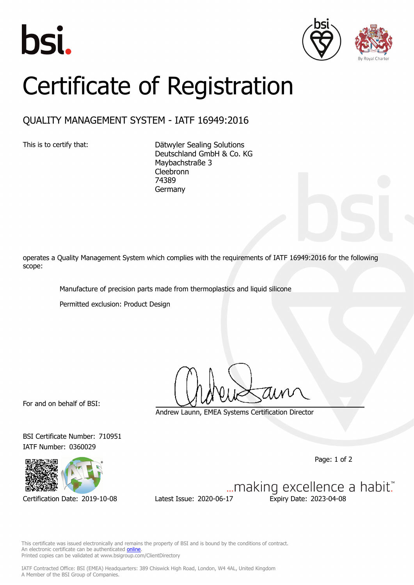





## Certificate of Registration

## QUALITY MANAGEMENT SYSTEM - IATF 16949:2016

This is to certify that: Dätwyler Sealing Solutions Deutschland GmbH & Co. KG Maybachstraße 3 **Cleebronn** 74389 Germany

operates a Quality Management System which complies with the requirements of IATF 16949:2016 for the following scope:

Manufacture of precision parts made from thermoplastics and liquid silicone

Permitted exclusion: Product Design

For and on behalf of BSI:

IATF Number: 0360029

Andrew Launn, EMEA Systems Certification Director

Page: 1 of 2



BSI Certificate Number: 710951

Certification Date: 2019-10-08 Latest Issue: 2020-06-17 Expiry Date: 2023-04-08

... making excellence a habit."

This certificate was issued electronically and remains the property of BSI and is bound by the conditions of contract. An electronic certificate can be authenticated **[online](https://pgplus.bsigroup.com/CertificateValidation/CertificateValidator.aspx?CertificateNumber=TS+710951&ReIssueDate=17%2f06%2f2020&Template=cemea_en)** Printed copies can be validated at www.bsigroup.com/ClientDirectory

IATF Contracted Office: BSI (EMEA) Headquarters: 389 Chiswick High Road, London, W4 4AL, United Kingdom A Member of the BSI Group of Companies.